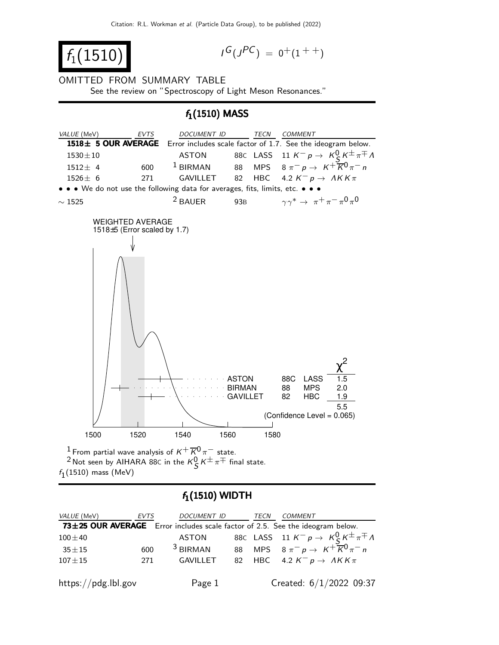$f_1(1510)$  |

$$
I^G(J^{PC}) = 0^+(1^{++})
$$

OMITTED FROM SUMMARY TABLE See the review on "Spectroscopy of Light Meson Resonances."

### $f_1(1510)$  MASS



 $^1$  From partial wave analysis of  $\mathrm{\mathit{K}}^{+}\overline{\mathrm{\mathit{K}}}^{0}\mathrm{\mathit{\pi}}^{-}$  state. <sup>2</sup> Not seen by AIHARA 88C in the  $\kappa_S^0 \kappa^{\pm} \pi^{\mp}$  final state.  $f_1(1510)$  mass (MeV)

# $f_1(1510)$  WIDTH

| VALUE (MeV)         | EVTS | DOCUMENT ID | <b>TECN</b> | COMMENT                                                                       |
|---------------------|------|-------------|-------------|-------------------------------------------------------------------------------|
|                     |      |             |             | 73±25 OUR AVERAGE Error includes scale factor of 2.5. See the ideogram below. |
| $100 + 40$          |      | ASTON       |             | 88C LASS 11 $K^- p \to K^0_S K^{\pm} \pi^{\mp} \Lambda$                       |
| $35 + 15$           | 600  | $3$ BIRMAN  |             | 88 MPS $8 \pi^- p \rightarrow K^+ \overline{K}^0 \pi^- n$                     |
| $107 \pm 15$        | 271  | GAVILLET    |             | 82 HBC 4.2 $K^- p \rightarrow AKK\pi$                                         |
|                     |      |             |             |                                                                               |
| https://pdg.lbl.gov |      | Page 1      |             | Created: $6/1/2022$ 09:37                                                     |